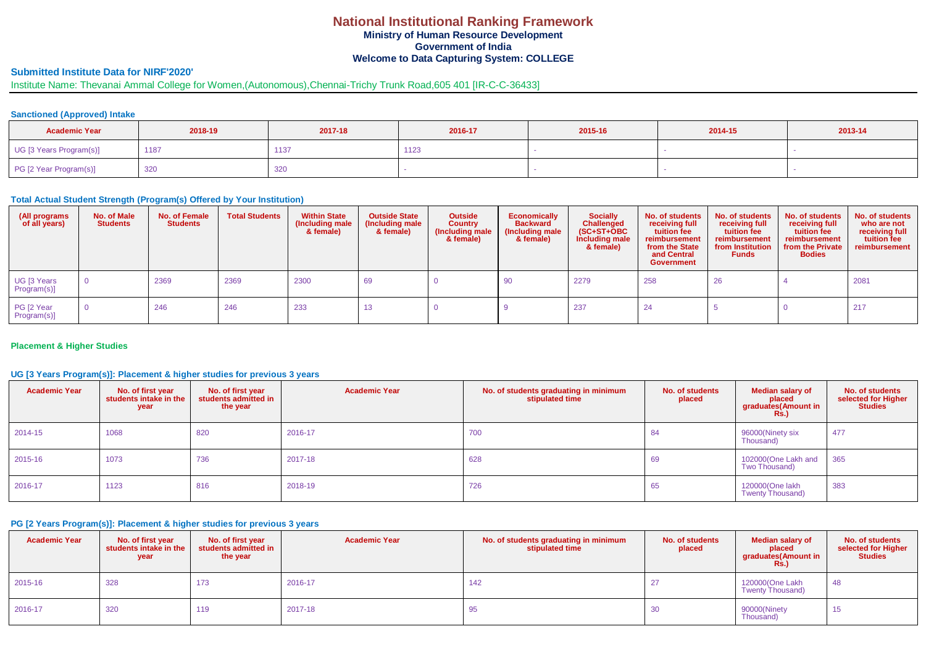### **National Institutional Ranking Framework Ministry of Human Resource Development Government of India Welcome to Data Capturing System: COLLEGE**

# **Submitted Institute Data for NIRF'2020'**

# Institute Name: Thevanai Ammal College for Women,(Autonomous),Chennai-Trichy Trunk Road,605 401 [IR-C-C-36433]

## **Sanctioned (Approved) Intake**

| <b>Academic Year</b>    | 2018-19 | 2017-18 | 2016-17 | 2015-16 | 2014-15 | 2013-14 |
|-------------------------|---------|---------|---------|---------|---------|---------|
| UG [3 Years Program(s)] | 1187    | 1137    | 1123    |         |         |         |
| PG [2 Year Program(s)]  | 320     | 320     |         |         |         |         |

#### **Total Actual Student Strength (Program(s) Offered by Your Institution)**

| (All programs<br>of all years) | No. of Male<br><b>Students</b> | No. of Female<br><b>Students</b> | <b>Total Students</b> | <b>Within State</b><br>(Including male)<br>& female) | <b>Outside State</b><br>(Including male<br>& female) | <b>Outside</b><br><b>Country</b><br>Including male<br>& female) | <b>Economically</b><br><b>Backward</b><br>(Including male<br>& female) | <b>Socially</b><br><b>Challenged</b><br>$(SC+ST+OBC$<br>Including male<br>& female) | No. of students<br>receiving full<br>tuition fee<br>reimbursement<br>from the State<br>and Central<br><b>Government</b> | No. of students<br>receiving full<br>tuition fee<br>reimbursement<br>from Institution<br><b>Funds</b> | No. of students<br>receiving full<br>tuition fee<br>reimbursement<br>from the Private<br><b>Bodies</b> | No. of students<br>who are not<br>receiving full<br>tuition fee<br>reimbursement |
|--------------------------------|--------------------------------|----------------------------------|-----------------------|------------------------------------------------------|------------------------------------------------------|-----------------------------------------------------------------|------------------------------------------------------------------------|-------------------------------------------------------------------------------------|-------------------------------------------------------------------------------------------------------------------------|-------------------------------------------------------------------------------------------------------|--------------------------------------------------------------------------------------------------------|----------------------------------------------------------------------------------|
| UG [3 Years<br>Program(s)]     | $\overline{0}$                 | 2369                             | 2369                  | 2300                                                 | 69                                                   |                                                                 | 90                                                                     | 2279                                                                                | 258                                                                                                                     | 26                                                                                                    |                                                                                                        | 2081                                                                             |
| PG [2 Year<br>Program(s)]      | $\overline{0}$                 | 246                              | 246                   | 233                                                  |                                                      |                                                                 |                                                                        | 237                                                                                 | -24                                                                                                                     |                                                                                                       |                                                                                                        | 217                                                                              |

#### **Placement & Higher Studies**

### **UG [3 Years Program(s)]: Placement & higher studies for previous 3 years**

| <b>Academic Year</b> | No. of first year<br>students intake in the<br>year | No. of first year<br>students admitted in<br>the year | <b>Academic Year</b> | No. of students graduating in minimum<br>stipulated time | No. of students<br>placed | <b>Median salary of</b><br>placed<br>graduates (Amount in<br>Rs. | No. of students<br>selected for Higher<br><b>Studies</b> |
|----------------------|-----------------------------------------------------|-------------------------------------------------------|----------------------|----------------------------------------------------------|---------------------------|------------------------------------------------------------------|----------------------------------------------------------|
| 2014-15              | 1068                                                | 820                                                   | 2016-17              | 700                                                      | 84                        | 96000(Ninety six<br>Thousand)                                    | 477                                                      |
| 2015-16              | 1073                                                | 736                                                   | 2017-18              | 628                                                      | 69                        | 102000(One Lakh and<br>Two Thousand)                             | 365                                                      |
| 2016-17              | 1123                                                | 816                                                   | 2018-19              | 726                                                      | 65                        | 120000(One lakh<br>Twenty Thousand)                              | 383                                                      |

## **PG [2 Years Program(s)]: Placement & higher studies for previous 3 years**

| <b>Academic Year</b> | No. of first year<br>students intake in the<br>year | No. of first year<br>students admitted in<br>the year | <b>Academic Year</b> | No. of students graduating in minimum<br>stipulated time | No. of students<br>placed | <b>Median salary of</b><br>placed<br>graduates(Amount in<br>Rs.) | No. of students<br>selected for Higher<br><b>Studies</b> |
|----------------------|-----------------------------------------------------|-------------------------------------------------------|----------------------|----------------------------------------------------------|---------------------------|------------------------------------------------------------------|----------------------------------------------------------|
| 2015-16              | 328                                                 | 173                                                   | 2016-17              | 142                                                      |                           | 120000(One Lakh<br>Twenty Thousand)                              | -48                                                      |
| 2016-17              | 320                                                 | 119                                                   | 2017-18              | 95                                                       | 30                        | 90000(Ninety<br>Thousand)                                        | 10                                                       |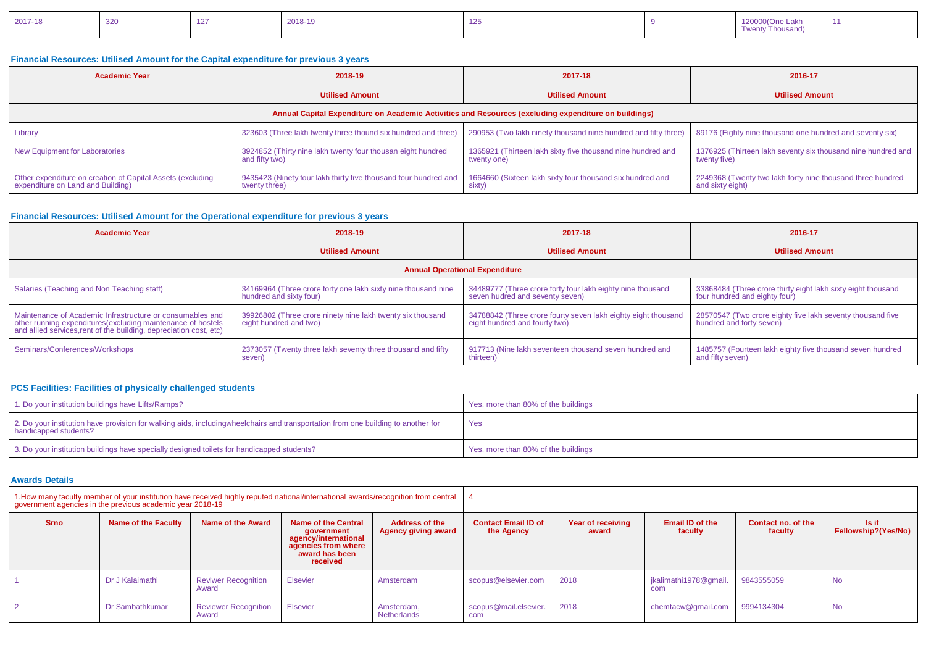| <b>f</b> wenty Thousand) |
|--------------------------|
|--------------------------|

### **Financial Resources: Utilised Amount for the Capital expenditure for previous 3 years**

| <b>Academic Year</b>                                                                                 | 2018-19                                                                          | 2017-18                                                                    | 2016-17                                                                        |  |  |  |  |  |  |
|------------------------------------------------------------------------------------------------------|----------------------------------------------------------------------------------|----------------------------------------------------------------------------|--------------------------------------------------------------------------------|--|--|--|--|--|--|
|                                                                                                      | <b>Utilised Amount</b>                                                           | <b>Utilised Amount</b>                                                     | <b>Utilised Amount</b>                                                         |  |  |  |  |  |  |
| Annual Capital Expenditure on Academic Activities and Resources (excluding expenditure on buildings) |                                                                                  |                                                                            |                                                                                |  |  |  |  |  |  |
| <b>Library</b>                                                                                       | 323603 (Three lakh twenty three thound six hundred and three)                    | 290953 (Two lakh ninety thousand nine hundred and fifty three)             | 89176 (Eighty nine thousand one hundred and seventy six)                       |  |  |  |  |  |  |
| New Equipment for Laboratories                                                                       | 3924852 (Thirty nine lakh twenty four thousan eight hundred<br>and fifty two)    | 1365921 (Thirteen lakh sixty five thousand nine hundred and<br>twenty one) | 1376925 (Thirteen lakh seventy six thousand nine hundred and<br>twenty five)   |  |  |  |  |  |  |
| Other expenditure on creation of Capital Assets (excluding<br>expenditure on Land and Building)      | 9435423 (Ninety four lakh thirty five thousand four hundred and<br>twenty three) | 1664660 (Sixteen lakh sixty four thousand six hundred and<br>sixty)        | 2249368 (Twenty two lakh forty nine thousand three hundred<br>and sixty eight) |  |  |  |  |  |  |

## **Financial Resources: Utilised Amount for the Operational expenditure for previous 3 years**

| <b>Academic Year</b>                                                                                                                                                                            | 2018-19                                                                                  | 2017-18                                                                                        | 2016-17                                                                                       |  |  |  |  |  |  |
|-------------------------------------------------------------------------------------------------------------------------------------------------------------------------------------------------|------------------------------------------------------------------------------------------|------------------------------------------------------------------------------------------------|-----------------------------------------------------------------------------------------------|--|--|--|--|--|--|
|                                                                                                                                                                                                 | <b>Utilised Amount</b>                                                                   | <b>Utilised Amount</b>                                                                         | <b>Utilised Amount</b>                                                                        |  |  |  |  |  |  |
| <b>Annual Operational Expenditure</b>                                                                                                                                                           |                                                                                          |                                                                                                |                                                                                               |  |  |  |  |  |  |
| Salaries (Teaching and Non Teaching staff)                                                                                                                                                      | 34169964 (Three crore forty one lakh sixty nine thousand nine<br>hundred and sixty four) | 34489777 (Three crore forty four lakh eighty nine thousand<br>seven hudred and seventy seven)  | 33868484 (Three crore thirty eight lakh sixty eight thousand<br>four hundred and eighty four) |  |  |  |  |  |  |
| Maintenance of Academic Infrastructure or consumables and<br>other running expenditures (excluding maintenance of hostels<br>and allied services, rent of the building, depreciation cost, etc) | 39926802 (Three crore ninety nine lakh twenty six thousand<br>eight hundred and two)     | 34788842 (Three crore fourty seven lakh eighty eight thousand<br>eight hundred and fourty two) | 28570547 (Two crore eighty five lakh seventy thousand five<br>hundred and forty seven)        |  |  |  |  |  |  |
| Seminars/Conferences/Workshops                                                                                                                                                                  | 2373057 (Twenty three lakh seventy three thousand and fifty<br>seven)                    | 917713 (Nine lakh seventeen thousand seven hundred and<br>thirteen)                            | 1485757 (Fourteen lakh eighty five thousand seven hundred<br>and fifty seven)                 |  |  |  |  |  |  |

## **PCS Facilities: Facilities of physically challenged students**

| 1. Do your institution buildings have Lifts/Ramps?                                                                                                        | Yes, more than 80% of the buildings |
|-----------------------------------------------------------------------------------------------------------------------------------------------------------|-------------------------------------|
| 2. Do your institution have provision for walking aids, includingwheelchairs and transportation from one building to another for<br>handicapped students? | Yes                                 |
| 3. Do your institution buildings have specially designed toilets for handicapped students?                                                                | Yes, more than 80% of the buildings |

## **Awards Details**

| 1. How many faculty member of your institution have received highly reputed national/international awards/recognition from central<br>government agencies in the previous academic year 2018-19 |                     |                                      |                                                                                                                |                                                     |                                          |                            |                                   |                               |                              |
|-------------------------------------------------------------------------------------------------------------------------------------------------------------------------------------------------|---------------------|--------------------------------------|----------------------------------------------------------------------------------------------------------------|-----------------------------------------------------|------------------------------------------|----------------------------|-----------------------------------|-------------------------------|------------------------------|
| <b>Srno</b>                                                                                                                                                                                     | Name of the Faculty | Name of the Award                    | Name of the Central<br>aovernment<br>agency/international<br>agencies from where<br>award has been<br>received | <b>Address of the</b><br><b>Agency giving award</b> | <b>Contact Email ID of</b><br>the Agency | Year of receiving<br>award | <b>Email ID of the</b><br>faculty | Contact no. of the<br>faculty | ls it<br>Fellowship?(Yes/No) |
|                                                                                                                                                                                                 | Dr J Kalaimathi     | <b>Reviwer Recognition</b><br>Award  | Elsevier                                                                                                       | Amsterdam                                           | scopus@elsevier.com                      | 2018                       | jkalimathi1978@gmail.<br>com      | 9843555059                    | <b>No</b>                    |
|                                                                                                                                                                                                 | Dr Sambathkumar     | <b>Reviewer Recognition</b><br>Award | <b>Elsevier</b>                                                                                                | Amsterdam.<br>Netherlands                           | scopus@mail.elsevier.<br>com             | 2018                       | chemtacw@qmail.com                | 9994134304                    | <b>No</b>                    |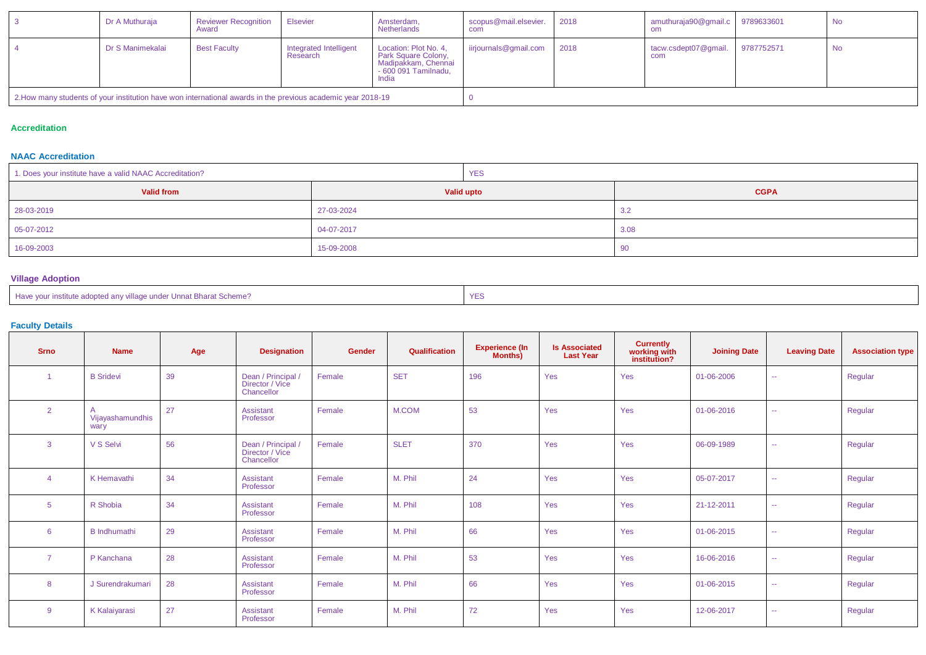|                                                                                                              | Dr A Muthuraja   | <b>Reviewer Recognition</b><br>Award | <b>Elsevier</b>                    | Amsterdam,<br>Netherlands                                                                            | scopus@mail.elsevier.<br>com | 2018 | amuthuraja90@gmail.c 9789633601 |            | No |
|--------------------------------------------------------------------------------------------------------------|------------------|--------------------------------------|------------------------------------|------------------------------------------------------------------------------------------------------|------------------------------|------|---------------------------------|------------|----|
|                                                                                                              | Dr S Manimekalai | <b>Best Faculty</b>                  | Integrated Intelligent<br>Research | Location: Plot No. 4,<br>Park Square Colony,<br>Madipakkam, Chennai<br>- 600 091 Tamilnadu,<br>India | iirjournals@gmail.com        | 2018 | tacw.csdept07@gmail.<br>com     | 9787752571 | No |
| 2. How many students of your institution have won international awards in the previous academic year 2018-19 |                  |                                      |                                    |                                                                                                      |                              |      |                                 |            |    |

#### **Accreditation**

### **NAAC Accreditation**

| 1. Does your institute have a valid NAAC Accreditation? | <b>YES</b> |             |  |  |
|---------------------------------------------------------|------------|-------------|--|--|
| <b>Valid from</b>                                       | Valid upto | <b>CGPA</b> |  |  |
| 28-03-2019                                              | 27-03-2024 | 3.2         |  |  |
| 05-07-2012                                              | 04-07-2017 | 3.08        |  |  |
| 16-09-2003                                              | 15-09-2008 | 90          |  |  |

# **Village Adoption**

| $\sim$ $\sim$<br>Have your institute adopted any village under Unnat Bharat Scheme? |  |
|-------------------------------------------------------------------------------------|--|
|-------------------------------------------------------------------------------------|--|

#### **Faculty Details**

| <b>Srno</b>     | <b>Name</b>              | Age | <b>Designation</b>                                  | Gender | Qualification | <b>Experience (In</b><br><b>Months)</b> | <b>Is Associated</b><br><b>Last Year</b> | <b>Currently</b><br>working with<br>institution? | <b>Joining Date</b> | <b>Leaving Date</b> | <b>Association type</b> |
|-----------------|--------------------------|-----|-----------------------------------------------------|--------|---------------|-----------------------------------------|------------------------------------------|--------------------------------------------------|---------------------|---------------------|-------------------------|
|                 | <b>B</b> Sridevi         | 39  | Dean / Principal /<br>Director / Vice<br>Chancellor | Female | <b>SET</b>    | 196                                     | Yes                                      | Yes                                              | 01-06-2006          | $\sim$              | Regular                 |
| $\overline{2}$  | Vijayashamundhis<br>wary | 27  | Assistant<br>Professor                              | Female | M.COM         | 53                                      | Yes                                      | Yes                                              | 01-06-2016          | $\sim$              | Regular                 |
| 3               | V S Selvi                | 56  | Dean / Principal /<br>Director / Vice<br>Chancellor | Female | <b>SLET</b>   | 370                                     | Yes                                      | Yes                                              | 06-09-1989          | $\sim$              | Regular                 |
|                 | K Hemavathi              | 34  | Assistant<br>Professor                              | Female | M. Phil       | 24                                      | Yes                                      | Yes                                              | 05-07-2017          | $\sim$              | Regular                 |
| $5\phantom{.0}$ | R Shobia                 | 34  | Assistant<br>Professor                              | Female | M. Phil       | 108                                     | Yes                                      | Yes                                              | 21-12-2011          | $\sim$              | Regular                 |
| 6               | <b>B</b> Indhumathi      | 29  | Assistant<br>Professor                              | Female | M. Phil       | 66                                      | Yes                                      | Yes                                              | 01-06-2015          | $\sim$              | Regular                 |
| $\overline{7}$  | P Kanchana               | 28  | Assistant<br>Professor                              | Female | M. Phil       | 53                                      | Yes                                      | Yes                                              | 16-06-2016          | $\sim$              | Regular                 |
| 8               | J Surendrakumari         | 28  | Assistant<br>Professor                              | Female | M. Phil       | 66                                      | Yes                                      | Yes                                              | 01-06-2015          | $\sim$              | Regular                 |
| 9               | K Kalaiyarasi            | 27  | Assistant<br>Professor                              | Female | M. Phil       | 72                                      | Yes                                      | Yes                                              | 12-06-2017          | $\sim$              | Regular                 |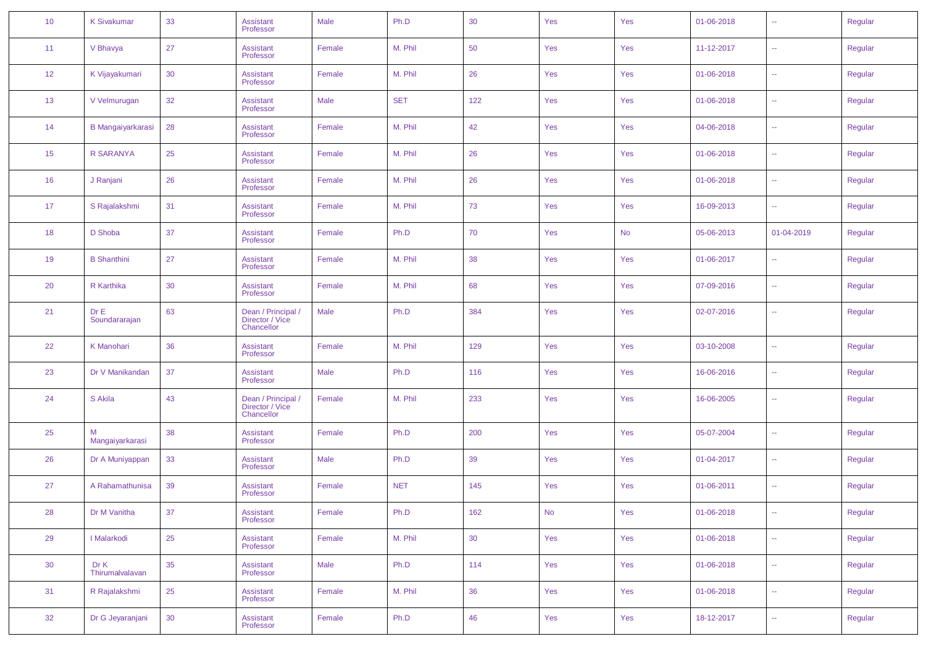| 10              | <b>K Sivakumar</b>       | 33 | <b>Assistant</b><br>Professor                       | Male   | Ph.D       | 30  | Yes       | Yes       | 01-06-2018 | $\mathbb{Z}^2$   | Regular |
|-----------------|--------------------------|----|-----------------------------------------------------|--------|------------|-----|-----------|-----------|------------|------------------|---------|
| 11              | V Bhavya                 | 27 | Assistant<br>Professor                              | Female | M. Phil    | 50  | Yes       | Yes       | 11-12-2017 | ÷.               | Regular |
| 12 <sup>°</sup> | K Vijayakumari           | 30 | <b>Assistant</b><br>Professor                       | Female | M. Phil    | 26  | Yes       | Yes       | 01-06-2018 | $\sim$           | Regular |
| 13              | V Velmurugan             | 32 | Assistant<br>Professor                              | Male   | <b>SET</b> | 122 | Yes       | Yes       | 01-06-2018 | $\mathbb{Z}^2$   | Regular |
| 14              | <b>B Mangaiyarkarasi</b> | 28 | <b>Assistant</b><br>Professor                       | Female | M. Phil    | 42  | Yes       | Yes       | 04-06-2018 | ÷.               | Regular |
| 15              | R SARANYA                | 25 | Assistant<br>Professor                              | Female | M. Phil    | 26  | Yes       | Yes       | 01-06-2018 | $\mathbb{Z}^2$   | Regular |
| 16              | J Ranjani                | 26 | Assistant<br>Professor                              | Female | M. Phil    | 26  | Yes       | Yes       | 01-06-2018 | $\mathbb{Z}^2$   | Regular |
| 17              | S Rajalakshmi            | 31 | <b>Assistant</b><br>Professor                       | Female | M. Phil    | 73  | Yes       | Yes       | 16-09-2013 | ÷.               | Regular |
| 18              | D Shoba                  | 37 | Assistant<br>Professor                              | Female | Ph.D       | 70  | Yes       | <b>No</b> | 05-06-2013 | 01-04-2019       | Regular |
| 19              | <b>B</b> Shanthini       | 27 | <b>Assistant</b><br>Professor                       | Female | M. Phil    | 38  | Yes       | Yes       | 01-06-2017 | $\mathbb{Z}^2$   | Regular |
| 20              | R Karthika               | 30 | Assistant<br>Professor                              | Female | M. Phil    | 68  | Yes       | Yes       | 07-09-2016 | $\mathbb{Z}^2$   | Regular |
| 21              | Dr E<br>Soundararajan    | 63 | Dean / Principal /<br>Director / Vice<br>Chancellor | Male   | Ph.D       | 384 | Yes       | Yes       | 02-07-2016 | $\mathbb{Z}^2$   | Regular |
| 22              | K Manohari               | 36 | <b>Assistant</b><br>Professor                       | Female | M. Phil    | 129 | Yes       | Yes       | 03-10-2008 | $\mathbb{Z}^2$   | Regular |
| 23              | Dr V Manikandan          | 37 | Assistant<br>Professor                              | Male   | Ph.D       | 116 | Yes       | Yes       | 16-06-2016 | $\sim$           | Regular |
| 24              | S Akila                  | 43 | Dean / Principal /<br>Director / Vice<br>Chancellor | Female | M. Phil    | 233 | Yes       | Yes       | 16-06-2005 | $\mathbb{Z}^2$   | Regular |
| 25              | М<br>Mangaiyarkarasi     | 38 | Assistant<br>Professor                              | Female | Ph.D       | 200 | Yes       | Yes       | 05-07-2004 | ÷.               | Regular |
| 26              | Dr A Muniyappan          | 33 | <b>Assistant</b><br>Professor                       | Male   | Ph.D       | 39  | Yes       | Yes       | 01-04-2017 | 44               | Regular |
| 27              | A Rahamathunisa          | 39 | <b>Assistant</b><br>Professor                       | Female | <b>NET</b> | 145 | Yes       | Yes       | 01-06-2011 | $\sim$           | Regular |
| 28              | Dr M Vanitha             | 37 | Assistant<br>Professor                              | Female | Ph.D       | 162 | <b>No</b> | Yes       | 01-06-2018 | ÷÷.              | Regular |
| 29              | I Malarkodi              | 25 | Assistant<br>Professor                              | Female | M. Phil    | 30  | Yes       | Yes       | 01-06-2018 | $\omega_{\rm m}$ | Regular |
| 30              | Dr K<br>Thirumalvalavan  | 35 | <b>Assistant</b><br>Professor                       | Male   | Ph.D       | 114 | Yes       | Yes       | 01-06-2018 | $\omega_{\rm m}$ | Regular |
| 31              | R Rajalakshmi            | 25 | <b>Assistant</b><br>Professor                       | Female | M. Phil    | 36  | Yes       | Yes       | 01-06-2018 | $\omega_{\rm m}$ | Regular |
| 32              | Dr G Jeyaranjani         | 30 | Assistant<br>Professor                              | Female | Ph.D       | 46  | Yes       | Yes       | 18-12-2017 | $\omega_{\rm m}$ | Regular |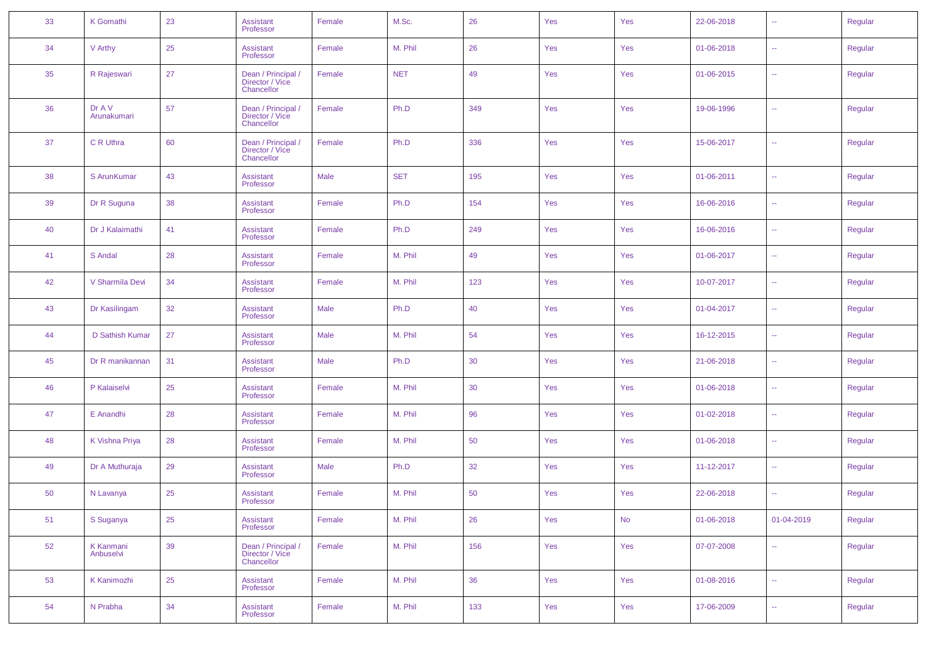| 33 | K Gomathi                     | 23 | <b>Assistant</b><br>Professor                       | Female | M.Sc.      | 26  | Yes | Yes | 22-06-2018 | $\sim$ $\sim$ | Regular |
|----|-------------------------------|----|-----------------------------------------------------|--------|------------|-----|-----|-----|------------|---------------|---------|
| 34 | V Arthy                       | 25 | <b>Assistant</b><br>Professor                       | Female | M. Phil    | 26  | Yes | Yes | 01-06-2018 | $\sim$        | Regular |
| 35 | R Rajeswari                   | 27 | Dean / Principal /<br>Director / Vice<br>Chancellor | Female | <b>NET</b> | 49  | Yes | Yes | 01-06-2015 | $\sim$ $\sim$ | Regular |
| 36 | Dr A V<br>Arunakumari         | 57 | Dean / Principal /<br>Director / Vice<br>Chancellor | Female | Ph.D       | 349 | Yes | Yes | 19-06-1996 | $\sim$        | Regular |
| 37 | C R Uthra                     | 60 | Dean / Principal /<br>Director / Vice<br>Chancellor | Female | Ph.D       | 336 | Yes | Yes | 15-06-2017 | ц.            | Regular |
| 38 | S ArunKumar                   | 43 | Assistant<br>Professor                              | Male   | <b>SET</b> | 195 | Yes | Yes | 01-06-2011 | $\sim$ $\sim$ | Regular |
| 39 | Dr R Suguna                   | 38 | Assistant<br>Professor                              | Female | Ph.D       | 154 | Yes | Yes | 16-06-2016 | $\sim$ $\sim$ | Regular |
| 40 | Dr J Kalaimathi               | 41 | Assistant<br>Professor                              | Female | Ph.D       | 249 | Yes | Yes | 16-06-2016 | $\sim$ $\sim$ | Regular |
| 41 | S Andal                       | 28 | Assistant<br>Professor                              | Female | M. Phil    | 49  | Yes | Yes | 01-06-2017 | $\sim$ $\sim$ | Regular |
| 42 | V Sharmila Devi               | 34 | Assistant<br>Professor                              | Female | M. Phil    | 123 | Yes | Yes | 10-07-2017 | $\sim$ $\sim$ | Regular |
| 43 | Dr Kasilingam                 | 32 | Assistant<br>Professor                              | Male   | Ph.D       | 40  | Yes | Yes | 01-04-2017 | $\sim$ $\sim$ | Regular |
| 44 | D Sathish Kumar               | 27 | Assistant<br>Professor                              | Male   | M. Phil    | 54  | Yes | Yes | 16-12-2015 | $\sim$ $\sim$ | Regular |
| 45 | Dr R manikannan               | 31 | Assistant<br>Professor                              | Male   | Ph.D       | 30  | Yes | Yes | 21-06-2018 | $\sim$ $\sim$ | Regular |
| 46 | P Kalaiselvi                  | 25 | Assistant<br>Professor                              | Female | M. Phil    | 30  | Yes | Yes | 01-06-2018 | $\sim$ $\sim$ | Regular |
| 47 | E Anandhi                     | 28 | Assistant<br>Professor                              | Female | M. Phil    | 96  | Yes | Yes | 01-02-2018 | $\sim$ $\sim$ | Regular |
| 48 | K Vishna Priya                | 28 | Assistant<br>Professor                              | Female | M. Phil    | 50  | Yes | Yes | 01-06-2018 | $\sim$ $\sim$ | Regular |
| 49 | Dr A Muthuraja                | 29 | Assistant<br>Professor                              | Male   | Ph.D       | 32  | Yes | Yes | 11-12-2017 | $\sim$ $\sim$ | Regular |
| 50 | N Lavanya                     | 25 | Assistant<br>Professor                              | Female | M. Phil    | 50  | Yes | Yes | 22-06-2018 | $\sim$ $\sim$ | Regular |
| 51 | S Suganya                     | 25 | Assistant<br>Professor                              | Female | M. Phil    | 26  | Yes | No  | 01-06-2018 | 01-04-2019    | Regular |
| 52 | <b>K</b> Kanmani<br>Anbuselvi | 39 | Dean / Principal /<br>Director / Vice<br>Chancellor | Female | M. Phil    | 156 | Yes | Yes | 07-07-2008 | ÷.            | Regular |
| 53 | <b>K Kanimozhi</b>            | 25 | Assistant<br>Professor                              | Female | M. Phil    | 36  | Yes | Yes | 01-08-2016 | $\sim$ $\sim$ | Regular |
| 54 | N Prabha                      | 34 | Assistant<br>Professor                              | Female | M. Phil    | 133 | Yes | Yes | 17-06-2009 | $\sim$ $\sim$ | Regular |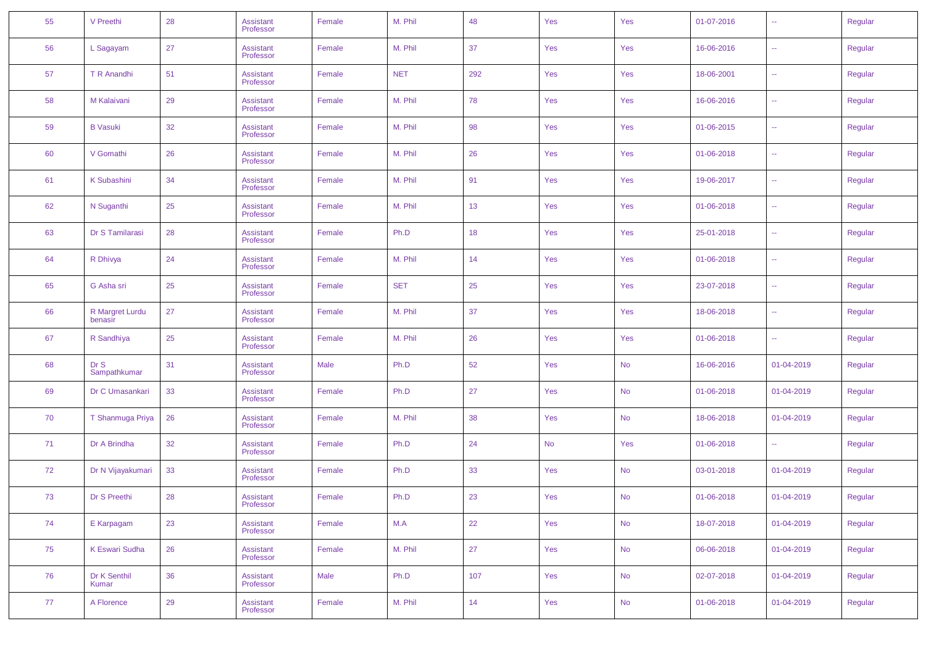| 55 | V Preethi                  | 28 | <b>Assistant</b><br>Professor | Female | M. Phil    | 48  | Yes | Yes       | 01-07-2016 | $\sim$        | Regular |
|----|----------------------------|----|-------------------------------|--------|------------|-----|-----|-----------|------------|---------------|---------|
| 56 | L Sagayam                  | 27 | Assistant<br>Professor        | Female | M. Phil    | 37  | Yes | Yes       | 16-06-2016 | $\sim$ $\sim$ | Regular |
| 57 | T R Anandhi                | 51 | Assistant<br>Professor        | Female | <b>NET</b> | 292 | Yes | Yes       | 18-06-2001 | $\sim$ $\sim$ | Regular |
| 58 | M Kalaivani                | 29 | Assistant<br>Professor        | Female | M. Phil    | 78  | Yes | Yes       | 16-06-2016 | $\sim$ $\sim$ | Regular |
| 59 | <b>B</b> Vasuki            | 32 | Assistant<br>Professor        | Female | M. Phil    | 98  | Yes | Yes       | 01-06-2015 | $\sim$ $\sim$ | Regular |
| 60 | V Gomathi                  | 26 | Assistant<br>Professor        | Female | M. Phil    | 26  | Yes | Yes       | 01-06-2018 | $\sim$ $\sim$ | Regular |
| 61 | <b>K Subashini</b>         | 34 | Assistant<br>Professor        | Female | M. Phil    | 91  | Yes | Yes       | 19-06-2017 | $\sim$ $\sim$ | Regular |
| 62 | N Suganthi                 | 25 | Assistant<br>Professor        | Female | M. Phil    | 13  | Yes | Yes       | 01-06-2018 | $\sim$ $\sim$ | Regular |
| 63 | Dr S Tamilarasi            | 28 | Assistant<br>Professor        | Female | Ph.D       | 18  | Yes | Yes       | 25-01-2018 | $\sim$        | Regular |
| 64 | R Dhivya                   | 24 | Assistant<br>Professor        | Female | M. Phil    | 14  | Yes | Yes       | 01-06-2018 | $\sim$ $\sim$ | Regular |
| 65 | G Asha sri                 | 25 | Assistant<br>Professor        | Female | <b>SET</b> | 25  | Yes | Yes       | 23-07-2018 | $\sim$ $\sim$ | Regular |
| 66 | R Margret Lurdu<br>benasir | 27 | Assistant<br>Professor        | Female | M. Phil    | 37  | Yes | Yes       | 18-06-2018 | $\sim$ $\sim$ | Regular |
| 67 | R Sandhiya                 | 25 | Assistant<br>Professor        | Female | M. Phil    | 26  | Yes | Yes       | 01-06-2018 | $\sim$ $\sim$ | Regular |
| 68 | Dr S<br>Sampathkumar       | 31 | Assistant<br>Professor        | Male   | Ph.D       | 52  | Yes | <b>No</b> | 16-06-2016 | 01-04-2019    | Regular |
| 69 | Dr C Umasankari            | 33 | Assistant<br>Professor        | Female | Ph.D       | 27  | Yes | <b>No</b> | 01-06-2018 | 01-04-2019    | Regular |
| 70 | T Shanmuga Priya           | 26 | Assistant<br>Professor        | Female | M. Phil    | 38  | Yes | <b>No</b> | 18-06-2018 | 01-04-2019    | Regular |
| 71 | Dr A Brindha               | 32 | Assistant<br>Professor        | Female | Ph.D       | 24  | No  | Yes       | 01-06-2018 | $\sim$        | Regular |
| 72 | Dr N Vijayakumari          | 33 | Assistant<br>Professor        | Female | Ph.D       | 33  | Yes | <b>No</b> | 03-01-2018 | 01-04-2019    | Regular |
| 73 | Dr S Preethi               | 28 | Assistant<br>Professor        | Female | Ph.D       | 23  | Yes | <b>No</b> | 01-06-2018 | 01-04-2019    | Regular |
| 74 | E Karpagam                 | 23 | Assistant<br>Professor        | Female | M.A        | 22  | Yes | <b>No</b> | 18-07-2018 | 01-04-2019    | Regular |
| 75 | <b>K Eswari Sudha</b>      | 26 | <b>Assistant</b><br>Professor | Female | M. Phil    | 27  | Yes | <b>No</b> | 06-06-2018 | 01-04-2019    | Regular |
| 76 | Dr K Senthil<br>Kumar      | 36 | <b>Assistant</b><br>Professor | Male   | Ph.D       | 107 | Yes | <b>No</b> | 02-07-2018 | 01-04-2019    | Regular |
| 77 | A Florence                 | 29 | <b>Assistant</b><br>Professor | Female | M. Phil    | 14  | Yes | <b>No</b> | 01-06-2018 | 01-04-2019    | Regular |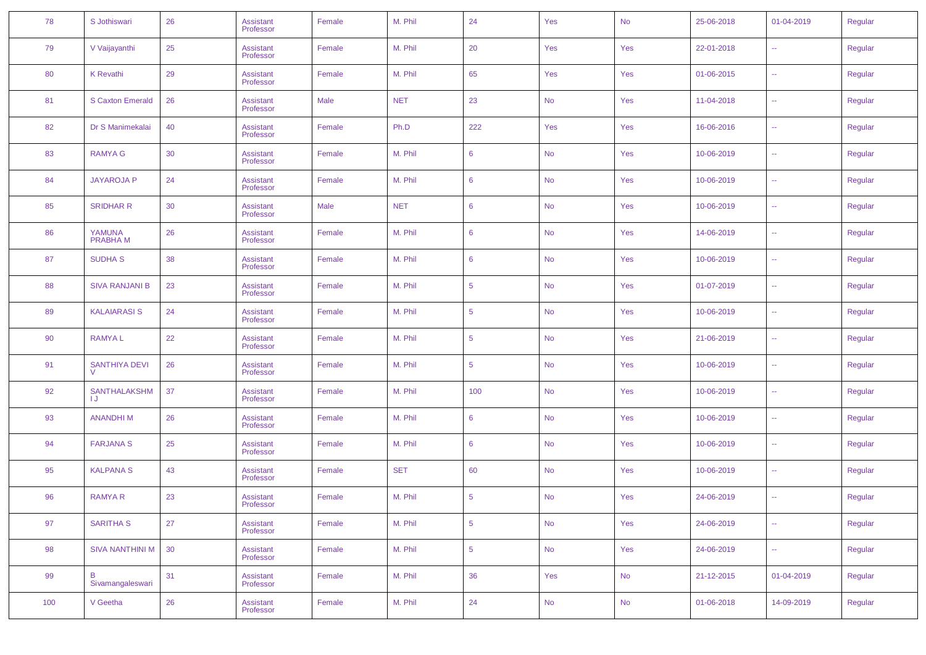| 78  | S Jothiswari             | 26 | Assistant<br>Professor | Female | M. Phil    | 24              | Yes       | No        | 25-06-2018 | 01-04-2019    | Regular |
|-----|--------------------------|----|------------------------|--------|------------|-----------------|-----------|-----------|------------|---------------|---------|
| 79  | V Vaijayanthi            | 25 | Assistant<br>Professor | Female | M. Phil    | 20              | Yes       | Yes       | 22-01-2018 | $\sim$        | Regular |
| 80  | K Revathi                | 29 | Assistant<br>Professor | Female | M. Phil    | 65              | Yes       | Yes       | 01-06-2015 | ÷.            | Regular |
| 81  | <b>S Caxton Emerald</b>  | 26 | Assistant<br>Professor | Male   | <b>NET</b> | 23              | <b>No</b> | Yes       | 11-04-2018 | $\sim$        | Regular |
| 82  | Dr S Manimekalai         | 40 | Assistant<br>Professor | Female | Ph.D       | 222             | Yes       | Yes       | 16-06-2016 | ÷.            | Regular |
| 83  | <b>RAMYA G</b>           | 30 | Assistant<br>Professor | Female | M. Phil    | 6               | <b>No</b> | Yes       | 10-06-2019 | $\sim$ $\sim$ | Regular |
| 84  | <b>JAYAROJA P</b>        | 24 | Assistant<br>Professor | Female | M. Phil    | 6               | <b>No</b> | Yes       | 10-06-2019 | ÷.            | Regular |
| 85  | <b>SRIDHAR R</b>         | 30 | Assistant<br>Professor | Male   | <b>NET</b> | 6               | <b>No</b> | Yes       | 10-06-2019 | $\sim$ $\sim$ | Regular |
| 86  | YAMUNA<br><b>PRABHAM</b> | 26 | Assistant<br>Professor | Female | M. Phil    | 6               | <b>No</b> | Yes       | 14-06-2019 | 44            | Regular |
| 87  | <b>SUDHA S</b>           | 38 | Assistant<br>Professor | Female | M. Phil    | 6               | <b>No</b> | Yes       | 10-06-2019 | $\sim$ $\sim$ | Regular |
| 88  | <b>SIVA RANJANI B</b>    | 23 | Assistant<br>Professor | Female | M. Phil    | $5\phantom{.0}$ | <b>No</b> | Yes       | 01-07-2019 | $\sim$ $\sim$ | Regular |
| 89  | <b>KALAIARASI S</b>      | 24 | Assistant<br>Professor | Female | M. Phil    | $5\phantom{.0}$ | <b>No</b> | Yes       | 10-06-2019 | $\sim$ $\sim$ | Regular |
| 90  | <b>RAMYAL</b>            | 22 | Assistant<br>Professor | Female | M. Phil    | $5\phantom{.0}$ | <b>No</b> | Yes       | 21-06-2019 | $\sim$ $\sim$ | Regular |
| 91  | <b>SANTHIYA DEVI</b>     | 26 | Assistant<br>Professor | Female | M. Phil    | $5\phantom{.0}$ | <b>No</b> | Yes       | 10-06-2019 | 44            | Regular |
| 92  | <b>SANTHALAKSHM</b>      | 37 | Assistant<br>Professor | Female | M. Phil    | 100             | <b>No</b> | Yes       | 10-06-2019 | 44            | Regular |
| 93  | <b>ANANDHIM</b>          | 26 | Assistant<br>Professor | Female | M. Phil    | 6               | <b>No</b> | Yes       | 10-06-2019 | $\sim$        | Regular |
| 94  | <b>FARJANA S</b>         | 25 | Assistant<br>Professor | Female | M. Phil    | 6               | <b>No</b> | Yes       | 10-06-2019 | 44            | Regular |
| 95  | <b>KALPANA S</b>         | 43 | Assistant<br>Professor | Female | <b>SET</b> | 60              | <b>No</b> | Yes       | 10-06-2019 | $\sim$ $\sim$ | Regular |
| 96  | <b>RAMYAR</b>            | 23 | Assistant<br>Professor | Female | M. Phil    | $5\phantom{.0}$ | <b>No</b> | Yes       | 24-06-2019 | $\sim$ $\sim$ | Regular |
| 97  | <b>SARITHA S</b>         | 27 | Assistant<br>Professor | Female | M. Phil    | $5\phantom{.0}$ | <b>No</b> | Yes       | 24-06-2019 | $\sim$        | Regular |
| 98  | <b>SIVA NANTHINI M</b>   | 30 | Assistant<br>Professor | Female | M. Phil    | $5\phantom{.0}$ | <b>No</b> | Yes       | 24-06-2019 | $\sim$        | Regular |
| 99  | B<br>Sivamangaleswari    | 31 | Assistant<br>Professor | Female | M. Phil    | 36              | Yes       | No        | 21-12-2015 | 01-04-2019    | Regular |
| 100 | V Geetha                 | 26 | Assistant<br>Professor | Female | M. Phil    | 24              | <b>No</b> | <b>No</b> | 01-06-2018 | 14-09-2019    | Regular |